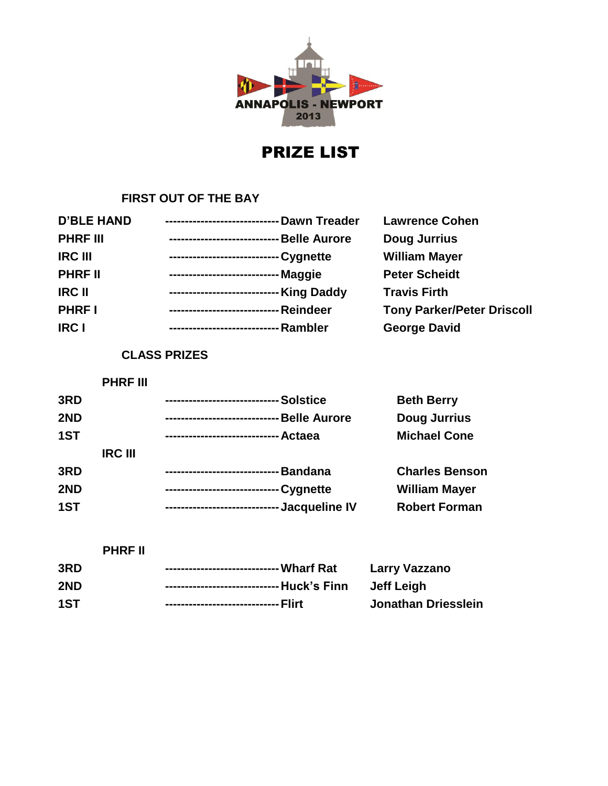

## PRIZE LIST

## **FIRST OUT OF THE BAY**

| <b>D'BLE HAND</b> | ----------------------------- Dawn Treader   | <b>Lawrence Cohen</b>             |
|-------------------|----------------------------------------------|-----------------------------------|
| <b>PHRF III</b>   | -Belle Aurore<br>--------------------------- | <b>Doug Jurrius</b>               |
| <b>IRC III</b>    | - Cygnette<br>---------------------------    | <b>William Mayer</b>              |
| <b>PHRF II</b>    | - Maggie<br>--------------------------       | <b>Peter Scheidt</b>              |
| <b>IRC II</b>     | ---------------------------- King Daddy      | <b>Travis Firth</b>               |
| <b>PHRFI</b>      | - Reindeer<br>-------------------------      | <b>Tony Parker/Peter Driscoll</b> |
| <b>IRC I</b>      | - Rambler<br>-------------------------       | <b>George David</b>               |
|                   |                                              |                                   |

## **CLASS PRIZES**

**PHRF III**

| 3RD |                | <b>Solstice</b><br>--------------------------     | <b>Beth Berry</b>     |
|-----|----------------|---------------------------------------------------|-----------------------|
| 2ND |                | <b>Belle Aurore</b><br>-------------------------- | <b>Doug Jurrius</b>   |
| 1ST |                |                                                   | <b>Michael Cone</b>   |
|     | <b>IRC III</b> |                                                   |                       |
| 3RD |                | Bandana<br>------------------------               | <b>Charles Benson</b> |
| 2ND |                |                                                   | <b>William Mayer</b>  |
| 1ST |                | ----------------------------- Jacqueline IV       | <b>Robert Forman</b>  |

|     | <b>PHRF II</b> |                     |
|-----|----------------|---------------------|
| 3RD |                | Larry Vazzano       |
| 2ND |                | Jeff Leigh          |
| 1ST |                | Jonathan Driesslein |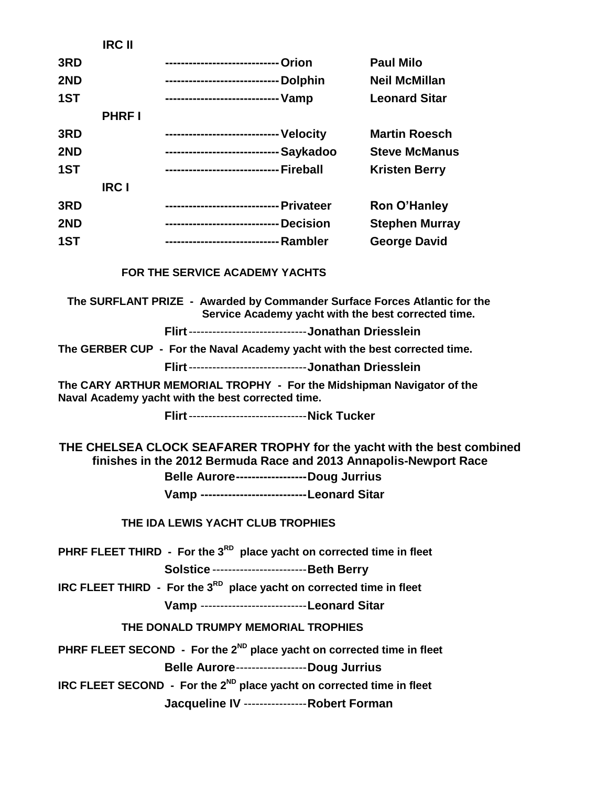|     | וו טרוו      |                                        |                       |
|-----|--------------|----------------------------------------|-----------------------|
| 3RD |              | ---------------------------- Orion     | <b>Paul Milo</b>      |
| 2ND |              | ----------------------------- Dolphin  | <b>Neil McMillan</b>  |
| 1ST |              |                                        | <b>Leonard Sitar</b>  |
|     | <b>PHRFI</b> |                                        |                       |
| 3RD |              | ---------------------------- Velocity  | <b>Martin Roesch</b>  |
| 2ND |              | ---------------------------- Saykadoo  | <b>Steve McManus</b>  |
| 1ST |              | ----------------------------- Fireball | <b>Kristen Berry</b>  |
|     | <b>IRC I</b> |                                        |                       |
| 3RD |              |                                        | <b>Ron O'Hanley</b>   |
| 2ND |              | ---------------------------- Decision  | <b>Stephen Murray</b> |
| 1ST |              |                                        | <b>George David</b>   |
|     |              | <b>FOR THE SERVICE ACADEMY YACHTS</b>  |                       |
|     |              |                                        |                       |

**IRC II**

**The SURFLANT PRIZE - Awarded by Commander Surface Forces Atlantic for the Service Academy yacht with the best corrected time.**

**Flirt**------------------------------**Jonathan Driesslein**

**The GERBER CUP - For the Naval Academy yacht with the best corrected time.**

**Flirt**------------------------------**Jonathan Driesslein**

**The CARY ARTHUR MEMORIAL TROPHY - For the Midshipman Navigator of the Naval Academy yacht with the best corrected time.**

**Flirt**------------------------------**Nick Tucker**

**THE CHELSEA CLOCK SEAFARER TROPHY for the yacht with the best combined finishes in the 2012 Bermuda Race and 2013 Annapolis-Newport Race**

**Belle Aurore------------------Doug Jurrius**

**Vamp ---------------------------Leonard Sitar**

**THE IDA LEWIS YACHT CLUB TROPHIES**

**PHRF FLEET THIRD - For the 3RD place yacht on corrected time in fleet**

**Solstice** ------------------------**Beth Berry**

**IRC FLEET THIRD - For the 3RD place yacht on corrected time in fleet**

**Vamp** ---------------------------**Leonard Sitar**

**THE DONALD TRUMPY MEMORIAL TROPHIES**

**PHRF FLEET SECOND - For the 2ND place yacht on corrected time in fleet**

**Belle Aurore**------------------**Doug Jurrius**

**IRC FLEET SECOND - For the 2ND place yacht on corrected time in fleet**

**Jacqueline IV** ----------------**Robert Forman**